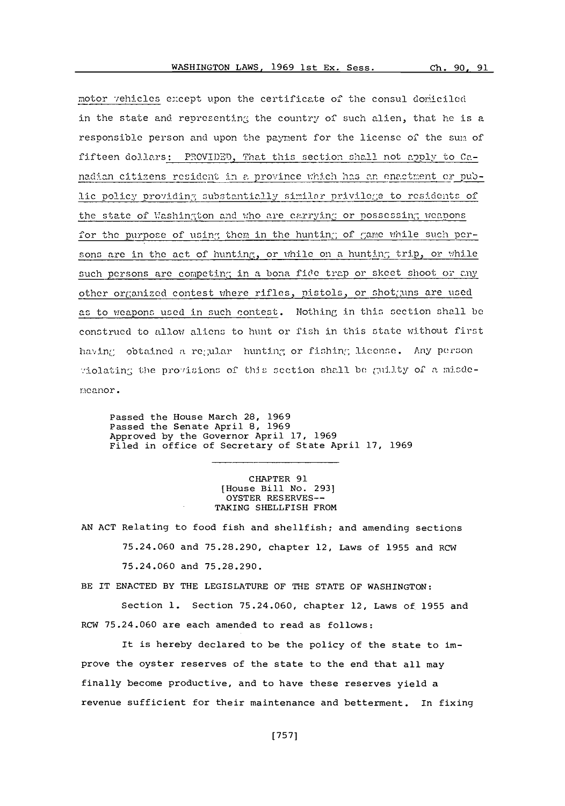Ch. 90, 91

motor vehicles except upon the certificate of the consul domiciled in the state and representing the country of such alien, that he is a responsible person and upon the payment for the license of the sum of fifteen dollars: PROVIDED, That this section shall not apply to Canadian citizens resident in a province which has an enactment or public policy providing substantially similar privilege to residents of the state of Washington and who are carrying or possessing weapons for the purpose of using them in the hunting of game while such persons are in the act of hunting, or while on a hunting trip, or while such persons are competing in a bona fide trap or skeet shoot or any other organized contest where rifles, pistols, or shotguns are used as to weapons used in such contest. Nothing in this section shall be construed to allow aliens to hunt or fish in this state without first having obtained a regular hunting or fishing license. Any person violating the provisions of this section shall be guilty of a misdemeanor.

Passed the House March 28, 1969 Passed the Senate April 8, 1969 Approved by the Governor April 17, 1969 Filed in office of Secretary of State April 17, 1969

> CHAPTER 91 [House Bill No. 293] OYSTER RESERVES --TAKING SHELLFISH FROM

AN ACT Relating to food fish and shellfish; and amending sections

75.24.060 and 75.28.290, chapter 12, Laws of 1955 and RCW

75.24.060 and 75.28.290.

BE IT ENACTED BY THE LEGISLATURE OF THE STATE OF WASHINGTON:

Section 1. Section 75.24.060, chapter 12, Laws of 1955 and RCW 75.24.060 are each amended to read as follows:

It is hereby declared to be the policy of the state to improve the oyster reserves of the state to the end that all may finally become productive, and to have these reserves yield a revenue sufficient for their maintenance and betterment. In fixing